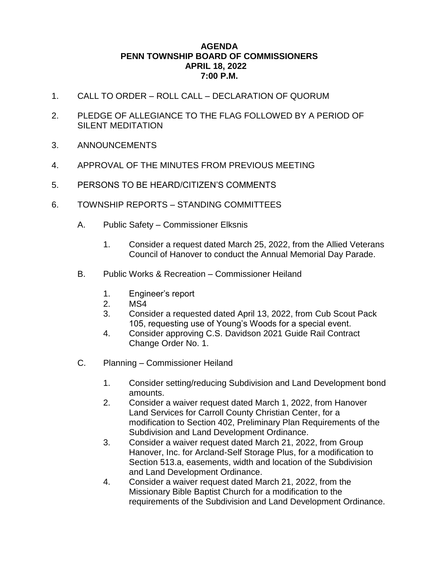## **AGENDA PENN TOWNSHIP BOARD OF COMMISSIONERS APRIL 18, 2022 7:00 P.M.**

- 1. CALL TO ORDER ROLL CALL DECLARATION OF QUORUM
- 2. PLEDGE OF ALLEGIANCE TO THE FLAG FOLLOWED BY A PERIOD OF SILENT MEDITATION
- 3. ANNOUNCEMENTS
- 4. APPROVAL OF THE MINUTES FROM PREVIOUS MEETING
- 5. PERSONS TO BE HEARD/CITIZEN'S COMMENTS
- 6. TOWNSHIP REPORTS STANDING COMMITTEES
	- A. Public Safety Commissioner Elksnis
		- 1. Consider a request dated March 25, 2022, from the Allied Veterans Council of Hanover to conduct the Annual Memorial Day Parade.
	- B. Public Works & Recreation Commissioner Heiland
		- 1. Engineer's report
		- 2. MS4
		- 3. Consider a requested dated April 13, 2022, from Cub Scout Pack 105, requesting use of Young's Woods for a special event.
		- 4. Consider approving C.S. Davidson 2021 Guide Rail Contract Change Order No. 1.
	- C. Planning Commissioner Heiland
		- 1. Consider setting/reducing Subdivision and Land Development bond amounts.
		- 2. Consider a waiver request dated March 1, 2022, from Hanover Land Services for Carroll County Christian Center, for a modification to Section 402, Preliminary Plan Requirements of the Subdivision and Land Development Ordinance.
		- 3. Consider a waiver request dated March 21, 2022, from Group Hanover, Inc. for Arcland-Self Storage Plus, for a modification to Section 513.a, easements, width and location of the Subdivision and Land Development Ordinance.
		- 4. Consider a waiver request dated March 21, 2022, from the Missionary Bible Baptist Church for a modification to the requirements of the Subdivision and Land Development Ordinance.